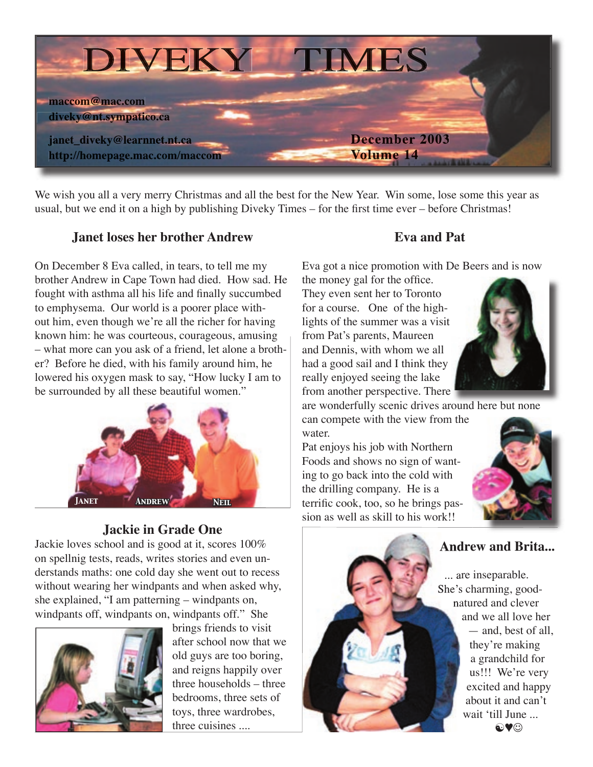

We wish you all a very merry Christmas and all the best for the New Year. Win some, lose some this year as usual, but we end it on a high by publishing Diveky Times – for the first time ever – before Christmas!

## **Janet loses her brother Andrew**

On December 8 Eva called, in tears, to tell me my brother Andrew in Cape Town had died. How sad. He fought with asthma all his life and finally succumbed to emphysema. Our world is a poorer place without him, even though we're all the richer for having known him: he was courteous, courageous, amusing – what more can you ask of a friend, let alone a brother? Before he died, with his family around him, he lowered his oxygen mask to say, "How lucky I am to be surrounded by all these beautiful women."



# **Jackie in Grade One**

Jackie loves school and is good at it, scores 100% on spellnig tests, reads, writes stories and even understands maths: one cold day she went out to recess without wearing her windpants and when asked why, she explained, "I am patterning – windpants on, windpants off, windpants on, windpants off." She



brings friends to visit after school now that we old guys are too boring, and reigns happily over three households – three bedrooms, three sets of toys, three wardrobes, three cuisines ....

## **Eva and Pat**

Eva got a nice promotion with De Beers and is now

the money gal for the office. They even sent her to Toronto for a course. One of the highlights of the summer was a visit from Pat's parents, Maureen and Dennis, with whom we all had a good sail and I think they really enjoyed seeing the lake from another perspective. There



are wonderfully scenic drives around here but none

can compete with the view from the water.

Pat enjoys his job with Northern Foods and shows no sign of wanting to go back into the cold with the drilling company. He is a terrific cook, too, so he brings passion as well as skill to his work!!



# **Andrew and Brita...**

 ... are inseparable. She's charming, goodnatured and clever and we all love her — and, best of all, they're making a grandchild for us!!! We're very excited and happy about it and can't wait ʻtill June ...  $@$